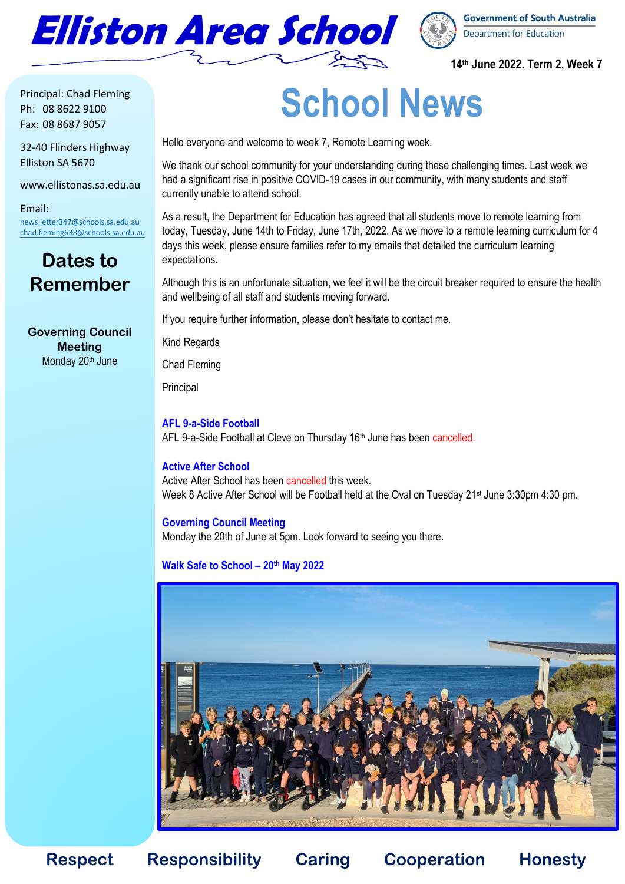



### **14th June 2022. Term 2, Week 7**

Principal: Chad Fleming Ph: 08 8622 9100 Fax: 08 8687 9057

32-40 Flinders Highway Elliston SA 5670

www.ellistonas.sa.edu.au

Email: [news.letter347@schools.sa.edu.au](mailto:news.letter347@schools.sa.edu.au) [chad.fleming638@schools.sa.edu.au](mailto:chad.fleming638@schools.sa.edu.au)

### **Dates to Remember**

**Governing Council Meeting** Monday 20<sup>th</sup> June

## **School News**

Hello everyone and welcome to week 7, Remote Learning week.

We thank our school community for your understanding during these challenging times. Last week we had a significant rise in positive COVID-19 cases in our community, with many students and staff currently unable to attend school.

As a result, the Department for Education has agreed that all students move to remote learning from today, Tuesday, June 14th to Friday, June 17th, 2022. As we move to a remote learning curriculum for 4 days this week, please ensure families refer to my emails that detailed the curriculum learning expectations.

Although this is an unfortunate situation, we feel it will be the circuit breaker required to ensure the health and wellbeing of all staff and students moving forward.

If you require further information, please don't hesitate to contact me.

Kind Regards

Chad Fleming

**Principal** 

#### **AFL 9-a-Side Football**

AFL 9-a-Side Football at Cleve on Thursday 16<sup>th</sup> June has been cancelled.

### **Active After School**

Active After School has been cancelled this week Week 8 Active After School will be Football held at the Oval on Tuesday 21<sup>st</sup> June 3:30pm 4:30 pm.

#### **Governing Council Meeting**

Monday the 20th of June at 5pm. Look forward to seeing you there.

### **Walk Safe to School – 20th May 2022**



**Respect Responsibility Caring Cooperation Honesty**